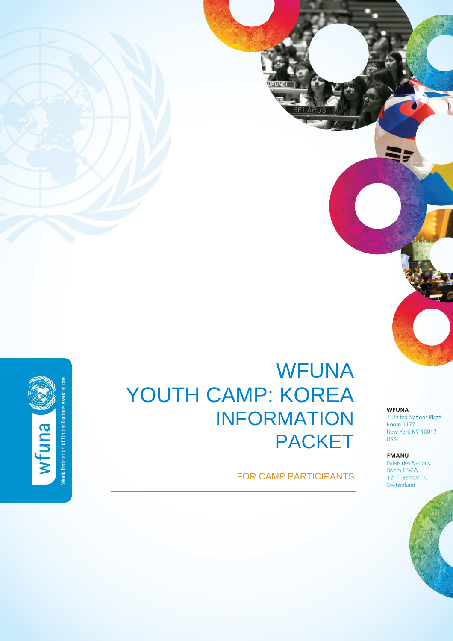

# WFUNA YOUTH CAMP: KOREA INFORMATION PACKET

## FOR CAMP PARTICIPANTS

**WFUNA** 1 United Nations Plaza Room 1177 New York NY 10017 **USA** 

#### **FMANU**

Palais des Nations Room E4-2A 1211 Geneva 10 Switzerland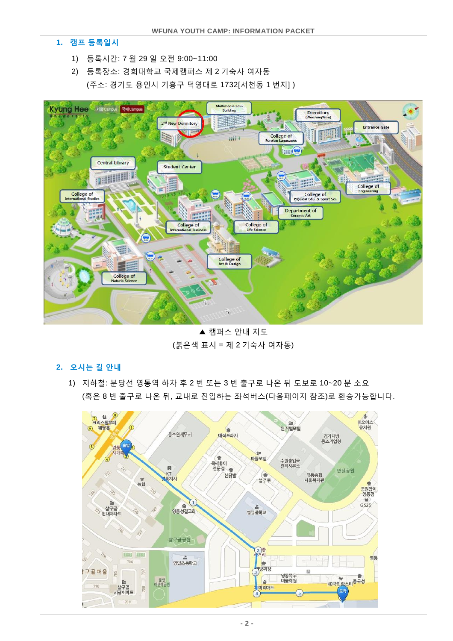#### **1.** 캠프 등록일시

- 1) 등록시간: 7 월 29 일 오전 9:00~11:00
- 2) 등록장소: 경희대학교 국제캠퍼스 제 2 기숙사 여자동 (주소: 경기도 용인시 기흥구 덕영대로 1732[서천동 1 번지] )



▲ 캠퍼스 안내 지도 (붉은색 표시 = 제 2 기숙사 여자동)

### **2.** 오시는 길 안내

1) 지하철: 분당선 영통역 하차 후 2 번 또는 3 번 출구로 나온 뒤 도보로 10~20 분 소요 (혹은 8 번 출구로 나온 뒤, 교내로 진입하는 좌석버스(다음페이지 참조)로 환승가능합니다.

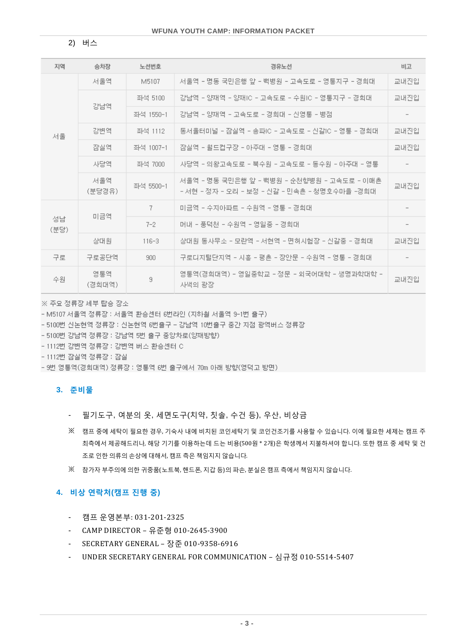2) 버스

| 지역         | 승차장           | 노선번호                                                  | 경유노선                                                                                       | 비교   |  |  |  |  |
|------------|---------------|-------------------------------------------------------|--------------------------------------------------------------------------------------------|------|--|--|--|--|
| 서울         | 서울역           | M5107                                                 | 서울역 - 명동 국민은행 앞 - 백병원 - 고속도로 - 영통지구 - 경희대                                                  |      |  |  |  |  |
|            |               | 좌석 5100                                               | 강남역 – 양재역 – 양재IC – 고속도로 – 수원IC – 영통지구 – 경희대                                                | 교내진입 |  |  |  |  |
|            | 강남역           | 좌석 1550-1                                             | 강남역 – 양재역 – 고속도로 – 경희대 – 신영통 – 병점                                                          |      |  |  |  |  |
|            | 강변역           | 좌석 1112                                               | 동서울터미널 – 잠실역 – 송파IC – 고속도로 – 신갈IC – 영통 – 경희대.                                              | 교내진입 |  |  |  |  |
|            | 잠실역           | 좌석 1007-1                                             | 교내진입                                                                                       |      |  |  |  |  |
|            | 사당역           | 사당역 - 의왕고속도로 - 북수원 - 고속도로 - 동수원 - 아주대 - 영통<br>좌석 7000 |                                                                                            |      |  |  |  |  |
|            | 서울역<br>(분당경유) | 좌석 5500-1                                             | 서울역 - 명동 국민은행 앞 - 백병원 - 순천향병원 - 고속도로 - 이매촌<br>- 서현 - 정자 - 오리 - 보정 - 신갈 - 민속촌 - 청명호수마을 -경희대 |      |  |  |  |  |
| 성남<br>(분당) |               | 7                                                     | 미금역 - 수지아파트 - 수원역 - 영통 - 경희대                                                               |      |  |  |  |  |
|            | 미금역           | $7 - 2$                                               | 머내 - 풍덕천 - 수원역 - 영일중 - 경희대                                                                 |      |  |  |  |  |
|            | 상대원           | $116 - 3$                                             | 상대원 동사무소 - 모란역 - 서현역 - 면허시험장 - 신갈중 - 경희대                                                   | 교내진입 |  |  |  |  |
| 구로         | 구로공단역         | 900                                                   | 구로디지털단지역 - 시흥 - 평촌 - 장안문 - 수원역 - 영통 - 경희대                                                  |      |  |  |  |  |
| 수원         | 영통역<br>(경희대역) | 9                                                     | 영통역(경희대역) - 영일중학교 - 정문 - 외국어대학 - 생명과학대학 -<br>사색의 광장                                        | 교내진입 |  |  |  |  |

※ 주요 정류장 세부 탑승 장소

- M5107 서울역 정류장 : 서울역 환승센터 6번라인 (지하철 서울역 9-1번 출구).
- ~ 5100번 신논현역 정류장 : 신논현역 6번출구 ~ 강남역 10번출구 중간 지점 광역버스 정류장
- 5100번 강남역 정류장 : 강남역 5번 출구 중앙차로(양재방향).
- 1112번 강변역 정류장 : 강변역 버스 환승센터 C
- 1112번 잠실역 정류장 : 잠실
- 9번 영통역(경희대역) 정류장 : 영통역 6번 출구에서 70m 아래 방향(영덕고 방면)

#### **3.** 준비물

- 필기도구, 여분의 옷, 세면도구(치약, 칫솔, 수건 등), 우산, 비상금
- ※ 캠프 중에 세탁이 필요한 경우, 기숙사 내에 비치된 코인세탁기 및 코인건조기를 사용할 수 있습니다. 이에 필요한 세제는 캠프 주 최측에서 제공해드리나, 해당 기기를 이용하는데 드는 비용(500원 \* 2개)은 학생께서 지불하셔야 합니다. 또한 캠프 중 세탁 및 건 조로 인한 의류의 손상에 대해서, 캠프 측은 책임지지 않습니다.
- ※ 참가자 부주의에 의한 귀중품(노트북, 핸드폰, 지갑 등)의 파손, 분실은 캠프 측에서 책임지지 않습니다.

#### **4.** 비상 연락처**(**캠프 진행 중**)**

- 캠프 운영본부: 031-201-2325
- CAMP DIRECTOR 유준형 010-2645-3900
- SECRETARY GENERAL 장준 010-9358-6916
- UNDER SECRETARY GENERAL FOR COMMUNICATION 심규정 010-5514-5407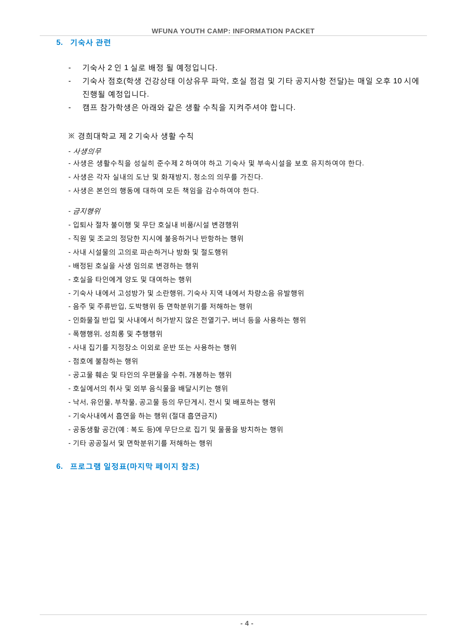#### **5.** 기숙사 관련

- 기숙사 2 인 1 실로 배정 될 예정입니다.
- 기숙사 점호(학생 건강상태 이상유무 파악, 호실 점검 및 기타 공지사항 전달)는 매일 오후 10 시에 진행될 예정입니다.
- 캠프 참가학생은 아래와 같은 생활 수칙을 지켜주셔야 합니다.

※ 경희대학교 제 2 기숙사 생활 수칙

- 사생의무

- 사생은 생활수칙을 성실히 준수제 2 하여야 하고 기숙사 및 부속시설을 보호 유지하여야 한다.
- 사생은 각자 실내의 도난 및 화재방지, 청소의 의무를 가진다.
- 사생은 본인의 행동에 대하여 모든 책임을 감수하여야 한다.

- 금지행위

- 입퇴사 절차 불이행 및 무단 호실내 비품/시설 변경행위
- 직원 및 조교의 정당한 지시에 불응하거나 반항하는 행위
- 사내 시설물의 고의로 파손하거나 방화 및 절도행위
- 배정된 호실을 사생 임의로 변경하는 행위
- 호실을 타인에게 양도 및 대여하는 행위
- 기숙사 내에서 고성방가 및 소란행위, 기숙사 지역 내에서 차량소음 유발행위
- 음주 및 주류반입, 도박행위 등 면학분위기를 저해하는 행위
- 인화물질 반입 및 사내에서 허가받지 않은 전열기구, 버너 등을 사용하는 행위
- 폭행행위, 성희롱 및 추행행위
- 사내 집기를 지정장소 이외로 운반 또는 사용하는 행위
- 점호에 불참하는 행위
- 공고물 훼손 및 타인의 우편물을 수취, 개봉하는 행위
- 호실에서의 취사 및 외부 음식물을 배달시키는 행위
- 낙서, 유인물, 부착물, 공고물 등의 무단게시, 전시 및 배포하는 행위
- 기숙사내에서 흡연을 하는 행위 (절대 흡연금지)
- 공동생활 공간(예 : 복도 등)에 무단으로 집기 및 물품을 방치하는 행위
- 기타 공공질서 및 면학분위기를 저해하는 행위

### **6.** 프로그램 일정표**(**마지막 페이지 참조**)**